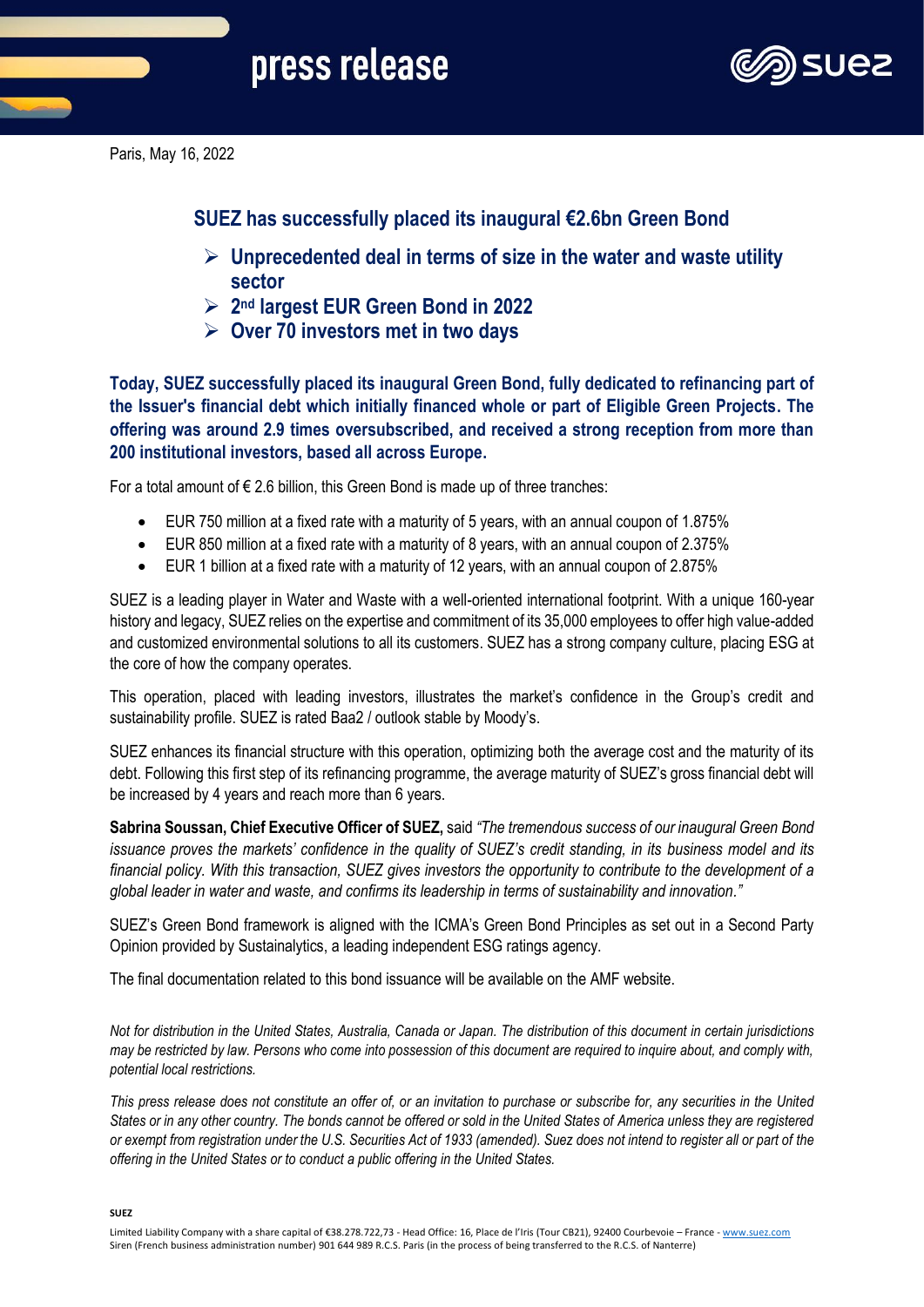

Paris, May 16, 2022

**SUEZ has successfully placed its inaugural €2.6bn Green Bond** 

- ➢ **Unprecedented deal in terms of size in the water and waste utility sector**
- ➢ **2 nd largest EUR Green Bond in 2022**
- ➢ **Over 70 investors met in two days**

**Today, SUEZ successfully placed its inaugural Green Bond, fully dedicated to refinancing part of the Issuer's financial debt which initially financed whole or part of Eligible Green Projects. The offering was around 2.9 times oversubscribed, and received a strong reception from more than 200 institutional investors, based all across Europe.**

For a total amount of  $\epsilon$  2.6 billion, this Green Bond is made up of three tranches:

- EUR 750 million at a fixed rate with a maturity of 5 years, with an annual coupon of 1.875%
- EUR 850 million at a fixed rate with a maturity of 8 years, with an annual coupon of 2.375%
- EUR 1 billion at a fixed rate with a maturity of 12 years, with an annual coupon of 2.875%

SUEZ is a leading player in Water and Waste with a well-oriented international footprint. With a unique 160-year history and legacy, SUEZ relies on the expertise and commitment of its 35,000 employees to offer high value-added and customized environmental solutions to all its customers. SUEZ has a strong company culture, placing ESG at the core of how the company operates.

This operation, placed with leading investors, illustrates the market's confidence in the Group's credit and sustainability profile. SUEZ is rated Baa2 / outlook stable by Moody's.

SUEZ enhances its financial structure with this operation, optimizing both the average cost and the maturity of its debt. Following this first step of its refinancing programme, the average maturity of SUEZ's gross financial debt will be increased by 4 years and reach more than 6 years.

**Sabrina Soussan, Chief Executive Officer of SUEZ,** said *"The tremendous success of our inaugural Green Bond issuance proves the markets' confidence in the quality of SUEZ's credit standing, in its business model and its financial policy. With this transaction, SUEZ gives investors the opportunity to contribute to the development of a global leader in water and waste, and confirms its leadership in terms of sustainability and innovation."*

SUEZ's Green Bond framework is aligned with the ICMA's Green Bond Principles as set out in a Second Party Opinion provided by Sustainalytics, a leading independent ESG ratings agency.

The final documentation related to this bond issuance will be available on the AMF website.

*Not for distribution in the United States, Australia, Canada or Japan. The distribution of this document in certain jurisdictions may be restricted by law. Persons who come into possession of this document are required to inquire about, and comply with, potential local restrictions.* 

*This press release does not constitute an offer of, or an invitation to purchase or subscribe for, any securities in the United States or in any other country. The bonds cannot be offered or sold in the United States of America unless they are registered or exempt from registration under the U.S. Securities Act of 1933 (amended). Suez does not intend to register all or part of the offering in the United States or to conduct a public offering in the United States.*

**SUEZ**